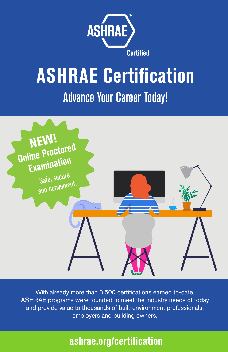

# **ASHRAE Certification** Advance Your Career Today!



With already more than 3,500 certifications earned to-date, ASHRAE programs were founded to meet the industry needs of today and provide value to thousands of built-environment professionals, employers and building owners.

# **ashrae.org/certification**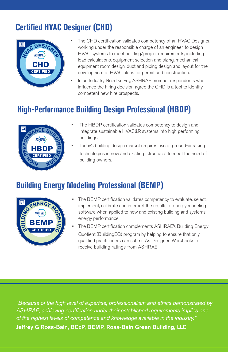# **Certified HVAC Designer (CHD)**



- The CHD certification validates competency of an HVAC Designer, working under the responsible charge of an engineer, to design HVAC systems to meet building/project requirements, including load calculations, equipment selection and sizing, mechanical equipment room design, duct and piping design and layout for the development of HVAC plans for permit and construction.
- In an Industry Need survey, ASHRAE member respondents who influence the hiring decision agree the CHD is a tool to identify competent new hire prospects.

# **High-Performance Building Design Professional (HBDP)**



- The HBDP certification validates competency to design and integrate sustainable HVAC&R systems into high performing buildings.
- Today's building design market requires use of ground-breaking technologies in new and existing structures to meet the need of building owners.

### **Building Energy Modeling Professional (BEMP)**



- The BEMP certification validates competency to evaluate, select, implement, calibrate and interpret the results of energy modeling software when applied to new and existing building and systems energy performance.
- The BEMP certification complements ASHRAE's Building Energy Quotient (BuildingEQ) program by helping to ensure that only qualified practitioners can submit As Designed Workbooks to receive building ratings from ASHRAE.

*"Because of the high level of expertise, professionalism and ethics demonstrated by ASHRAE, achieving certification under their established requirements implies one of the highest levels of competence and knowledge available in the industry."*  Jeffrey G Ross-Bain, BCxP, BEMP, Ross-Bain Green Building, LLC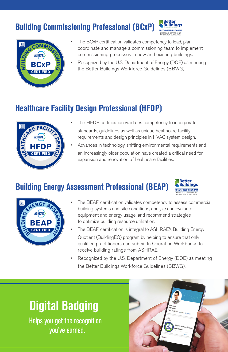# **Building Commissioning Professional (BCxP)**



| 囙 | GCOMMISS         |
|---|------------------|
|   | ASHRAE)          |
| Ĕ | <b>BCxP</b>      |
|   | <b>CERTIFIED</b> |
|   |                  |

- The BCxP certification validates competency to lead, plan, coordinate and manage a commissioning team to implement commissioning processes in new and existing buildings.
- Recognized by the U.S. Department of Energy (DOE) as meeting the Better Buildings Workforce Guidelines (BBWG).

### **Healthcare Facility Design Professional (HFDP)**



- The HFDP certification validates competency to incorporate standards, guidelines as well as unique healthcare facility requirements and design principles in HVAC system design.
- Advances in technology, shifting environmental requirements and an increasingly older population have created a critical need for expansion and renovation of healthcare facilities.

### **Building Energy Assessment Professional (BEAP)**





- The BEAP certification validates competency to assess commercial building systems and site conditions, analyze and evaluate equipment and energy usage, and recommend strategies to optimize building resource utilization.
- The BEAP certification is integral to ASHRAE's Building Energy Quotient (BuildingEQ) program by helping to ensure that only qualified practitioners can submit In Operation Workbooks to
- receive building ratings from ASHRAE. Recognized by the U.S. Department of Energy (DOE) as meeting the Better Buildings Workforce Guidelines (BBWG).

# **Digital Badging**

Helps you get the recognition you've earned.

|                                                 |                                                                                                                   | v<br>٠                                            |  |
|-------------------------------------------------|-------------------------------------------------------------------------------------------------------------------|---------------------------------------------------|--|
|                                                 | Degre Schute<br>Hoc Designer<br>Afterla Georgia - Sitt+ contections - Contact info<br>Activity<br>All toboar<br>ø |                                                   |  |
| Especience<br><b><i><u>fonder A CEO</u></i></b> | <b>BOD</b><br>Deight shared this                                                                                  | View my verified achievement<br>$\delta\sigma$ at |  |